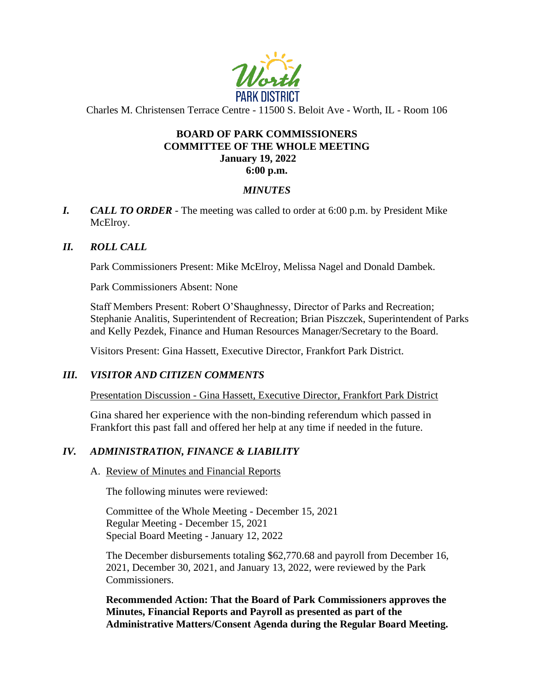

Charles M. Christensen Terrace Centre - 11500 S. Beloit Ave - Worth, IL - Room 106

# **BOARD OF PARK COMMISSIONERS COMMITTEE OF THE WHOLE MEETING January 19, 2022**

#### **6:00 p.m.**

## *MINUTES*

*I. CALL TO ORDER* - The meeting was called to order at 6:00 p.m. by President Mike McElroy.

#### *II. ROLL CALL*

Park Commissioners Present: Mike McElroy, Melissa Nagel and Donald Dambek.

Park Commissioners Absent: None

Staff Members Present: Robert O'Shaughnessy, Director of Parks and Recreation; Stephanie Analitis, Superintendent of Recreation; Brian Piszczek, Superintendent of Parks and Kelly Pezdek, Finance and Human Resources Manager/Secretary to the Board.

Visitors Present: Gina Hassett, Executive Director, Frankfort Park District.

#### *III. VISITOR AND CITIZEN COMMENTS*

Presentation Discussion - Gina Hassett, Executive Director, Frankfort Park District

Gina shared her experience with the non-binding referendum which passed in Frankfort this past fall and offered her help at any time if needed in the future.

# *IV. ADMINISTRATION, FINANCE & LIABILITY*

#### A. Review of Minutes and Financial Reports

The following minutes were reviewed:

Committee of the Whole Meeting - December 15, 2021 Regular Meeting - December 15, 2021 Special Board Meeting - January 12, 2022

The December disbursements totaling \$62,770.68 and payroll from December 16, 2021, December 30, 2021, and January 13, 2022, were reviewed by the Park Commissioners.

**Recommended Action: That the Board of Park Commissioners approves the Minutes, Financial Reports and Payroll as presented as part of the Administrative Matters/Consent Agenda during the Regular Board Meeting.**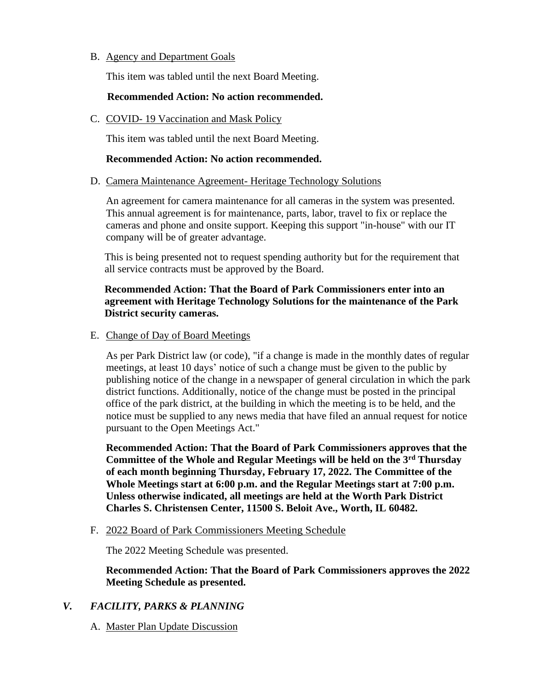### B. Agency and Department Goals

This item was tabled until the next Board Meeting.

# **Recommended Action: No action recommended.**

C. COVID- 19 Vaccination and Mask Policy

This item was tabled until the next Board Meeting.

### **Recommended Action: No action recommended.**

#### D. Camera Maintenance Agreement- Heritage Technology Solutions

An agreement for camera maintenance for all cameras in the system was presented. This annual agreement is for maintenance, parts, labor, travel to fix or replace the cameras and phone and onsite support. Keeping this support "in-house" with our IT company will be of greater advantage.

This is being presented not to request spending authority but for the requirement that all service contracts must be approved by the Board.

# **Recommended Action: That the Board of Park Commissioners enter into an agreement with Heritage Technology Solutions for the maintenance of the Park District security cameras.**

## E. Change of Day of Board Meetings

As per Park District law (or code), "if a change is made in the monthly dates of regular meetings, at least 10 days' notice of such a change must be given to the public by publishing notice of the change in a newspaper of general circulation in which the park district functions. Additionally, notice of the change must be posted in the principal office of the park district, at the building in which the meeting is to be held, and the notice must be supplied to any news media that have filed an annual request for notice pursuant to the Open Meetings Act."

**Recommended Action: That the Board of Park Commissioners approves that the Committee of the Whole and Regular Meetings will be held on the 3rd Thursday of each month beginning Thursday, February 17, 2022. The Committee of the Whole Meetings start at 6:00 p.m. and the Regular Meetings start at 7:00 p.m. Unless otherwise indicated, all meetings are held at the Worth Park District Charles S. Christensen Center, 11500 S. Beloit Ave., Worth, IL 60482.** 

F. 2022 Board of Park Commissioners Meeting Schedule

The 2022 Meeting Schedule was presented.

**Recommended Action: That the Board of Park Commissioners approves the 2022 Meeting Schedule as presented.**

# *V. FACILITY, PARKS & PLANNING*

A. Master Plan Update Discussion